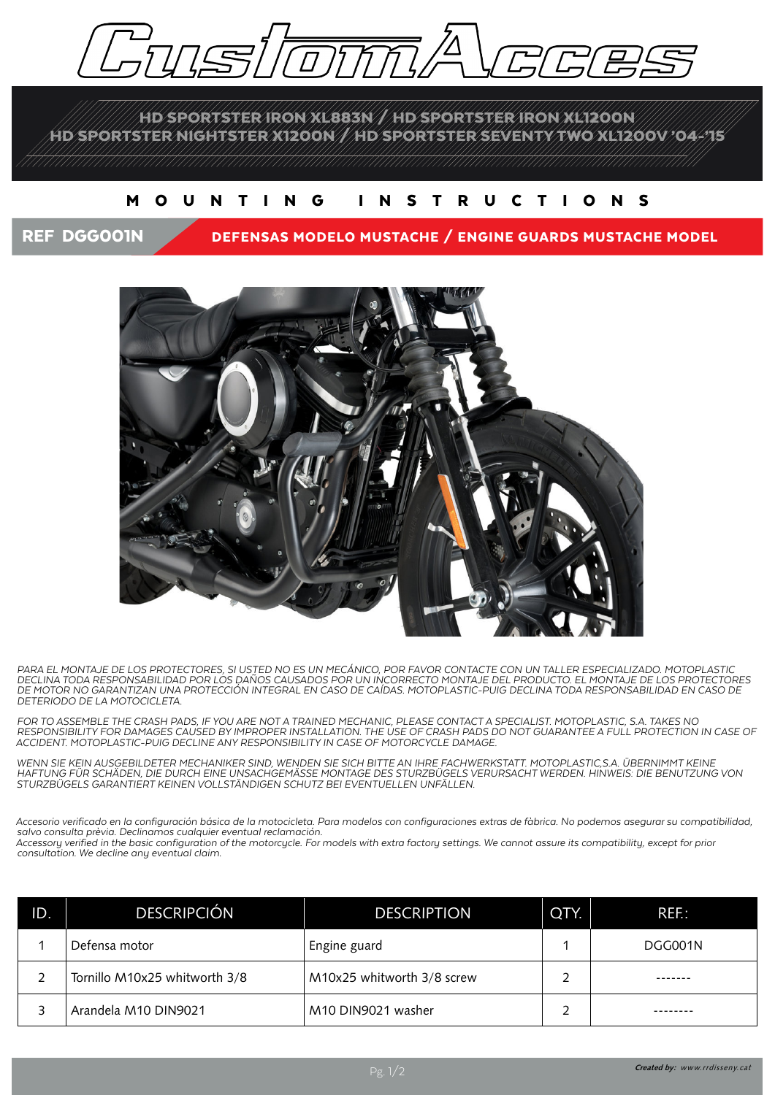

HD SPORTSTER IRON XL883N / HD SPORTSTER IRON XL1200N HD SPORTSTER NIGHTSTER X1200N / HD SPORTSTER SEVENTY TWO XL1200V '04-'15

## MOUNTING INSTRUCTIONS

## REF DGG001N DEFENSAS MODELO MUSTACHE / ENGINE GUARDS MUSTACHE MODEL



*PARA EL MONTAJE DE LOS PROTECTORES, SI USTED NO ES UN MECÁNICO, POR FAVOR CONTACTE CON UN TALLER ESPECIALIZADO. MOTOPLASTIC DECLINA TODA RESPONSABILIDAD POR LOS DAÑOS CAUSADOS POR UN INCORRECTO MONTAJE DEL PRODUCTO. EL MONTAJE DE LOS PROTECTORES DE MOTOR NO GARANTIZAN UNA PROTECCIÓN INTEGRAL EN CASO DE CAÍDAS. MOTOPLASTIC-PUIG DECLINA TODA RESPONSABILIDAD EN CASO DE DETERIODO DE LA MOTOCICLETA.*

*FOR TO ASSEMBLE THE CRASH PADS, IF YOU ARE NOT A TRAINED MECHANIC, PLEASE CONTACT A SPECIALIST. MOTOPLASTIC, S.A. TAKES NO RESPONSIBILITY FOR DAMAGES CAUSED BY IMPROPER INSTALLATION. THE USE OF CRASH PADS DO NOT GUARANTEE A FULL PROTECTION IN CASE OF ACCIDENT. MOTOPLASTIC-PUIG DECLINE ANY RESPONSIBILITY IN CASE OF MOTORCYCLE DAMAGE.*

*WENN SIE KEIN AUSGEBILDETER MECHANIKER SIND, WENDEN SIE SICH BITTE AN IHRE FACHWERKSTATT. MOTOPLASTIC,S.A. ÜBERNIMMT KEINE HAFTUNG FÜR SCHÄDEN, DIE DURCH EINE UNSACHGEMÄSSE MONTAGE DES STURZBÜGELS VERURSACHT WERDEN. HINWEIS: DIE BENUTZUNG VON STURZBÜGELS GARANTIERT KEINEN VOLLSTÄNDIGEN SCHUTZ BEI EVENTUELLEN UNFÄLLEN.*

*Accesorio verificado en la configuración básica de la motocicleta. Para modelos con configuraciones extras de fàbrica. No podemos asegurar su compatibilidad, salvo consulta prèvia. Declinamos cualquier eventual reclamación.*

*Accessory verified in the basic configuration of the motorcycle. For models with extra factory settings. We cannot assure its compatibility, except for prior consultation. We decline any eventual claim.*

| ID. | <b>DESCRIPCIÓN</b>            | <b>DESCRIPTION</b>         | QTY. | REF:    |
|-----|-------------------------------|----------------------------|------|---------|
|     | Defensa motor                 | Engine guard               |      | DGG001N |
|     | Tornillo M10x25 whitworth 3/8 | M10x25 whitworth 3/8 screw |      |         |
|     | Arandela M10 DIN9021          | M10 DIN9021 washer         |      |         |